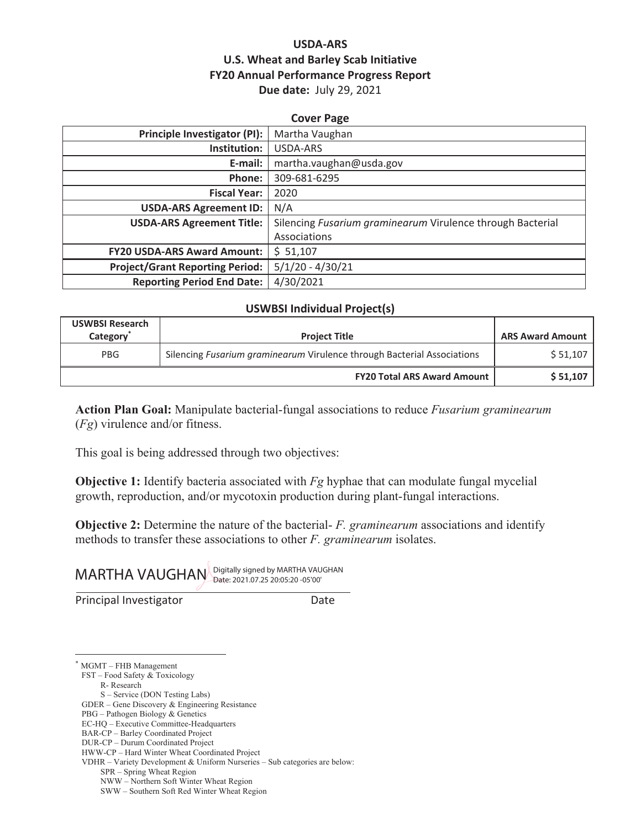# **USDA-ARS U.S. Wheat and Barley Scab Initiative FY20 Annual Performance Progress Report Due date:** July 29, 2021

| Principle Investigator (PI):<br>Martha Vaughan<br>Institution:<br>USDA-ARS<br>martha.vaughan@usda.gov<br>E-mail:<br>309-681-6295<br>Phone:<br><b>Fiscal Year:</b><br>2020<br>N/A<br><b>USDA-ARS Agreement ID:</b><br>Silencing Fusarium graminearum Virulence through Bacterial<br><b>USDA-ARS Agreement Title:</b><br>Associations<br><b>FY20 USDA-ARS Award Amount:</b><br>\$51,107 | <b>Cover Page</b>                      |                    |  |  |  |
|---------------------------------------------------------------------------------------------------------------------------------------------------------------------------------------------------------------------------------------------------------------------------------------------------------------------------------------------------------------------------------------|----------------------------------------|--------------------|--|--|--|
|                                                                                                                                                                                                                                                                                                                                                                                       |                                        |                    |  |  |  |
|                                                                                                                                                                                                                                                                                                                                                                                       |                                        |                    |  |  |  |
|                                                                                                                                                                                                                                                                                                                                                                                       |                                        |                    |  |  |  |
|                                                                                                                                                                                                                                                                                                                                                                                       |                                        |                    |  |  |  |
|                                                                                                                                                                                                                                                                                                                                                                                       |                                        |                    |  |  |  |
|                                                                                                                                                                                                                                                                                                                                                                                       |                                        |                    |  |  |  |
|                                                                                                                                                                                                                                                                                                                                                                                       |                                        |                    |  |  |  |
|                                                                                                                                                                                                                                                                                                                                                                                       |                                        |                    |  |  |  |
|                                                                                                                                                                                                                                                                                                                                                                                       |                                        |                    |  |  |  |
|                                                                                                                                                                                                                                                                                                                                                                                       | <b>Project/Grant Reporting Period:</b> | $5/1/20 - 4/30/21$ |  |  |  |
| 4/30/2021<br><b>Reporting Period End Date:</b>                                                                                                                                                                                                                                                                                                                                        |                                        |                    |  |  |  |

#### **USWBSI Individual Project(s)**

| <b>USWBSI Research</b><br>Category | <b>Project Title</b>                                                    | <b>ARS Award Amount</b> |
|------------------------------------|-------------------------------------------------------------------------|-------------------------|
| <b>PBG</b>                         | Silencing Fusarium graminearum Virulence through Bacterial Associations | \$51,107                |
|                                    | <b>FY20 Total ARS Award Amount</b>                                      | \$51,107                |

**Action Plan Goal:** Manipulate bacterial-fungal associations to reduce *Fusarium graminearum* (*Fg*) virulence and/or fitness.

This goal is being addressed through two objectives:

**Objective 1:** Identify bacteria associated with *Fg* hyphae that can modulate fungal mycelial growth, reproduction, and/or mycotoxin production during plant-fungal interactions.

**Objective 2:** Determine the nature of the bacterial- *F. graminearum* associations and identify methods to transfer these associations to other *F. graminearum* isolates.

MARTHA VAUGHAN Digitally signed by MARTHA VAUGHAN

Principal Investigator **Date** 

\* MGMT – FHB Management

FST – Food Safety & Toxicology

R- Research

S – Service (DON Testing Labs)

GDER – Gene Discovery & Engineering Resistance

PBG – Pathogen Biology & Genetics

EC-HQ – Executive Committee-Headquarters BAR-CP – Barley Coordinated Project

DUR-CP – Durum Coordinated Project

HWW-CP – Hard Winter Wheat Coordinated Project

VDHR – Variety Development & Uniform Nurseries – Sub categories are below:

SPR – Spring Wheat Region

NWW – Northern Soft Winter Wheat Region

SWW – Southern Soft Red Winter Wheat Region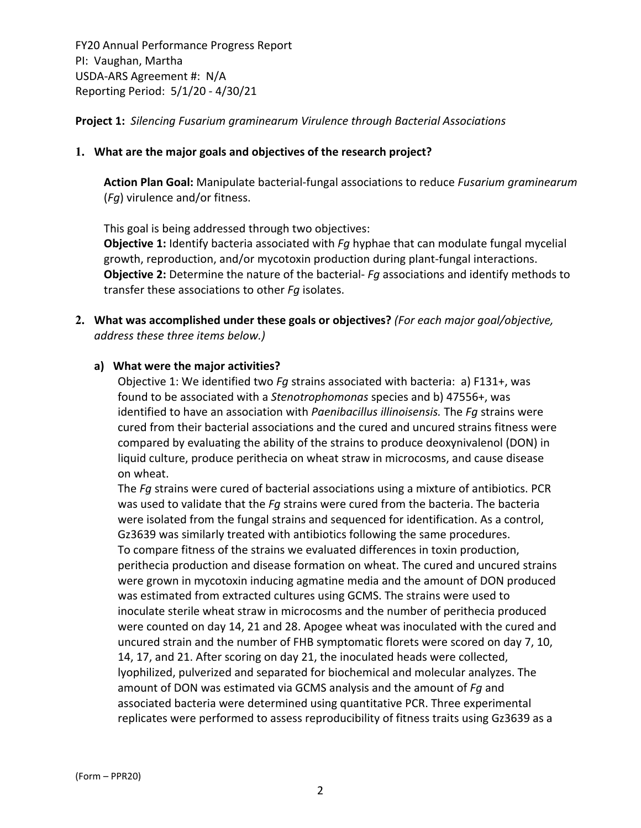**Project 1:** *Silencing Fusarium graminearum Virulence through Bacterial Associations*

### **1. What are the major goals and objectives of the research project?**

**Action Plan Goal:** Manipulate bacterial‐fungal associations to reduce *Fusarium graminearum* (*Fg*) virulence and/or fitness.

This goal is being addressed through two objectives:

**Objective 1:** Identify bacteria associated with *Fg* hyphae that can modulate fungal mycelial growth, reproduction, and/or mycotoxin production during plant‐fungal interactions. **Objective 2:** Determine the nature of the bacterial‐ *Fg* associations and identify methods to transfer these associations to other *Fg* isolates.

**2. What was accomplished under these goals or objectives?** *(For each major goal/objective, address these three items below.)*

#### **a) What were the major activities?**

Objective 1: We identified two *Fg* strains associated with bacteria: a) F131+, was found to be associated with a *Stenotrophomonas* species and b) 47556+, was identified to have an association with *Paenibacillus illinoisensis.* The *Fg* strains were cured from their bacterial associations and the cured and uncured strains fitness were compared by evaluating the ability of the strains to produce deoxynivalenol (DON) in liquid culture, produce perithecia on wheat straw in microcosms, and cause disease on wheat.

The *Fg* strains were cured of bacterial associations using a mixture of antibiotics. PCR was used to validate that the *Fg* strains were cured from the bacteria. The bacteria were isolated from the fungal strains and sequenced for identification. As a control, Gz3639 was similarly treated with antibiotics following the same procedures. To compare fitness of the strains we evaluated differences in toxin production, perithecia production and disease formation on wheat. The cured and uncured strains were grown in mycotoxin inducing agmatine media and the amount of DON produced was estimated from extracted cultures using GCMS. The strains were used to inoculate sterile wheat straw in microcosms and the number of perithecia produced were counted on day 14, 21 and 28. Apogee wheat was inoculated with the cured and uncured strain and the number of FHB symptomatic florets were scored on day 7, 10, 14, 17, and 21. After scoring on day 21, the inoculated heads were collected, lyophilized, pulverized and separated for biochemical and molecular analyzes. The amount of DON was estimated via GCMS analysis and the amount of *Fg* and associated bacteria were determined using quantitative PCR. Three experimental replicates were performed to assess reproducibility of fitness traits using Gz3639 as a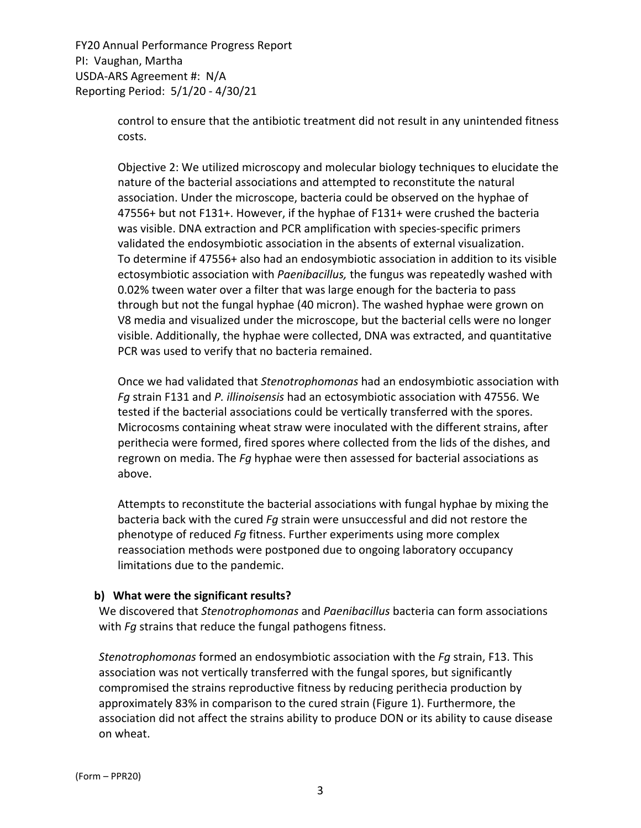> control to ensure that the antibiotic treatment did not result in any unintended fitness costs.

> Objective 2: We utilized microscopy and molecular biology techniques to elucidate the nature of the bacterial associations and attempted to reconstitute the natural association. Under the microscope, bacteria could be observed on the hyphae of 47556+ but not F131+. However, if the hyphae of F131+ were crushed the bacteria was visible. DNA extraction and PCR amplification with species‐specific primers validated the endosymbiotic association in the absents of external visualization. To determine if 47556+ also had an endosymbiotic association in addition to its visible ectosymbiotic association with *Paenibacillus,* the fungus was repeatedly washed with 0.02% tween water over a filter that was large enough for the bacteria to pass through but not the fungal hyphae (40 micron). The washed hyphae were grown on V8 media and visualized under the microscope, but the bacterial cells were no longer visible. Additionally, the hyphae were collected, DNA was extracted, and quantitative PCR was used to verify that no bacteria remained.

> Once we had validated that *Stenotrophomonas* had an endosymbiotic association with *Fg* strain F131 and *P. illinoisensis* had an ectosymbiotic association with 47556. We tested if the bacterial associations could be vertically transferred with the spores. Microcosms containing wheat straw were inoculated with the different strains, after perithecia were formed, fired spores where collected from the lids of the dishes, and regrown on media. The *Fg* hyphae were then assessed for bacterial associations as above.

Attempts to reconstitute the bacterial associations with fungal hyphae by mixing the bacteria back with the cured *Fg* strain were unsuccessful and did not restore the phenotype of reduced *Fg* fitness. Further experiments using more complex reassociation methods were postponed due to ongoing laboratory occupancy limitations due to the pandemic.

#### **b) What were the significant results?**

We discovered that *Stenotrophomonas* and *Paenibacillus* bacteria can form associations with *Fg* strains that reduce the fungal pathogens fitness.

*Stenotrophomonas* formed an endosymbiotic association with the *Fg* strain, F13. This association was not vertically transferred with the fungal spores, but significantly compromised the strains reproductive fitness by reducing perithecia production by approximately 83% in comparison to the cured strain (Figure 1). Furthermore, the association did not affect the strains ability to produce DON or its ability to cause disease on wheat.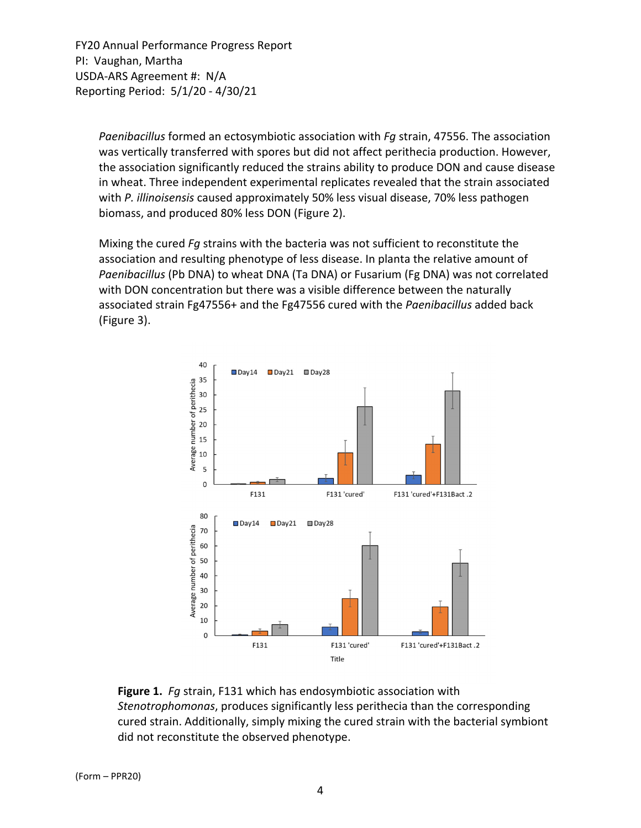> *Paenibacillus* formed an ectosymbiotic association with *Fg* strain, 47556. The association was vertically transferred with spores but did not affect perithecia production. However, the association significantly reduced the strains ability to produce DON and cause disease in wheat. Three independent experimental replicates revealed that the strain associated with *P. illinoisensis* caused approximately 50% less visual disease, 70% less pathogen biomass, and produced 80% less DON (Figure 2).

Mixing the cured *Fg* strains with the bacteria was not sufficient to reconstitute the association and resulting phenotype of less disease. In planta the relative amount of *Paenibacillus* (Pb DNA) to wheat DNA (Ta DNA) or Fusarium (Fg DNA) was not correlated with DON concentration but there was a visible difference between the naturally associated strain Fg47556+ and the Fg47556 cured with the *Paenibacillus* added back (Figure 3).



**Figure 1.** *Fg* strain, F131 which has endosymbiotic association with *Stenotrophomonas*, produces significantly less perithecia than the corresponding cured strain. Additionally, simply mixing the cured strain with the bacterial symbiont did not reconstitute the observed phenotype.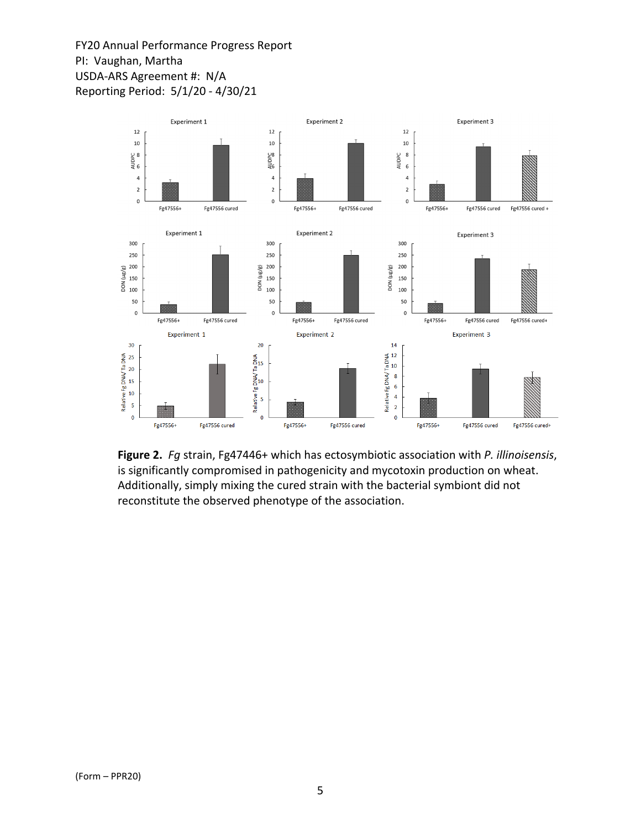

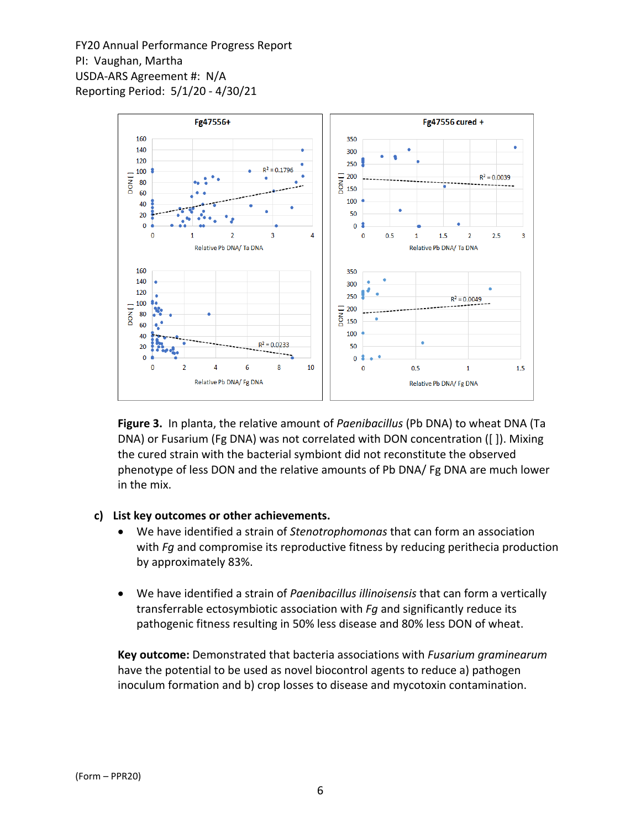

**Figure 3.**In planta, the relative amount of *Paenibacillus* (Pb DNA) to wheat DNA (Ta DNA) or Fusarium (Fg DNA) was not correlated with DON concentration ([ ]). Mixing the cured strain with the bacterial symbiont did not reconstitute the observed phenotype of less DON and the relative amounts of Pb DNA/ Fg DNA are much lower in the mix.

#### **c) List key outcomes or other achievements.**

- We have identified a strain of *Stenotrophomonas* that can form an association with *Fg* and compromise its reproductive fitness by reducing perithecia production by approximately 83%.
- We have identified a strain of *Paenibacillus illinoisensis* that can form a vertically transferrable ectosymbiotic association with *Fg* and significantly reduce its pathogenic fitness resulting in 50% less disease and 80% less DON of wheat.

**Key outcome:** Demonstrated that bacteria associations with *Fusarium graminearum* have the potential to be used as novel biocontrol agents to reduce a) pathogen inoculum formation and b) crop losses to disease and mycotoxin contamination.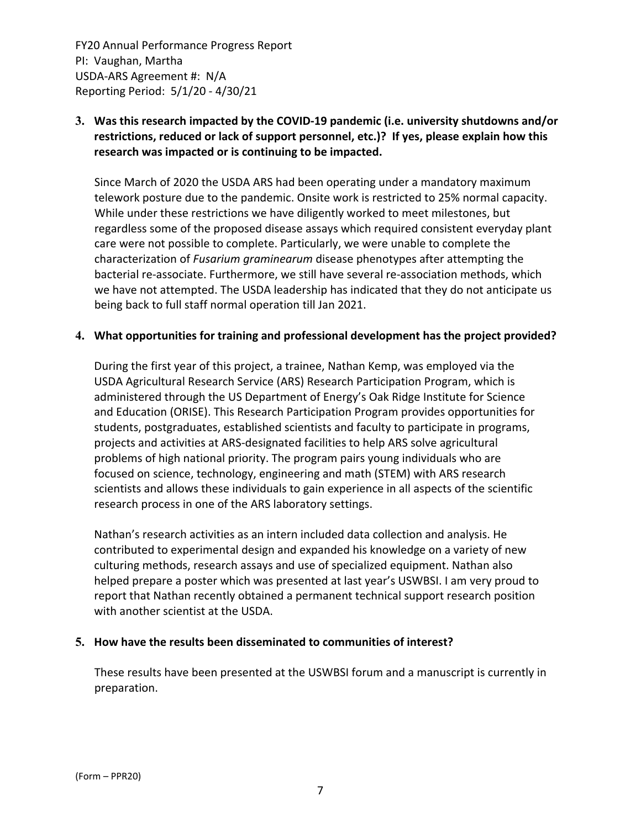# **3. Was this research impacted by the COVID‐19 pandemic (i.e. university shutdowns and/or restrictions, reduced or lack of support personnel, etc.)? If yes, please explain how this research was impacted or is continuing to be impacted.**

Since March of 2020 the USDA ARS had been operating under a mandatory maximum telework posture due to the pandemic. Onsite work is restricted to 25% normal capacity. While under these restrictions we have diligently worked to meet milestones, but regardless some of the proposed disease assays which required consistent everyday plant care were not possible to complete. Particularly, we were unable to complete the characterization of *Fusarium graminearum* disease phenotypes after attempting the bacterial re‐associate. Furthermore, we still have several re‐association methods, which we have not attempted. The USDA leadership has indicated that they do not anticipate us being back to full staff normal operation till Jan 2021.

#### **4. What opportunities for training and professional development has the project provided?**

During the first year of this project, a trainee, Nathan Kemp, was employed via the USDA Agricultural Research Service (ARS) Research Participation Program, which is administered through the US Department of Energy's Oak Ridge Institute for Science and Education (ORISE). This Research Participation Program provides opportunities for students, postgraduates, established scientists and faculty to participate in programs, projects and activities at ARS‐designated facilities to help ARS solve agricultural problems of high national priority. The program pairs young individuals who are focused on science, technology, engineering and math (STEM) with ARS research scientists and allows these individuals to gain experience in all aspects of the scientific research process in one of the ARS laboratory settings.

Nathan's research activities as an intern included data collection and analysis. He contributed to experimental design and expanded his knowledge on a variety of new culturing methods, research assays and use of specialized equipment. Nathan also helped prepare a poster which was presented at last year's USWBSI. I am very proud to report that Nathan recently obtained a permanent technical support research position with another scientist at the USDA.

#### **5. How have the results been disseminated to communities of interest?**

These results have been presented at the USWBSI forum and a manuscript is currently in preparation.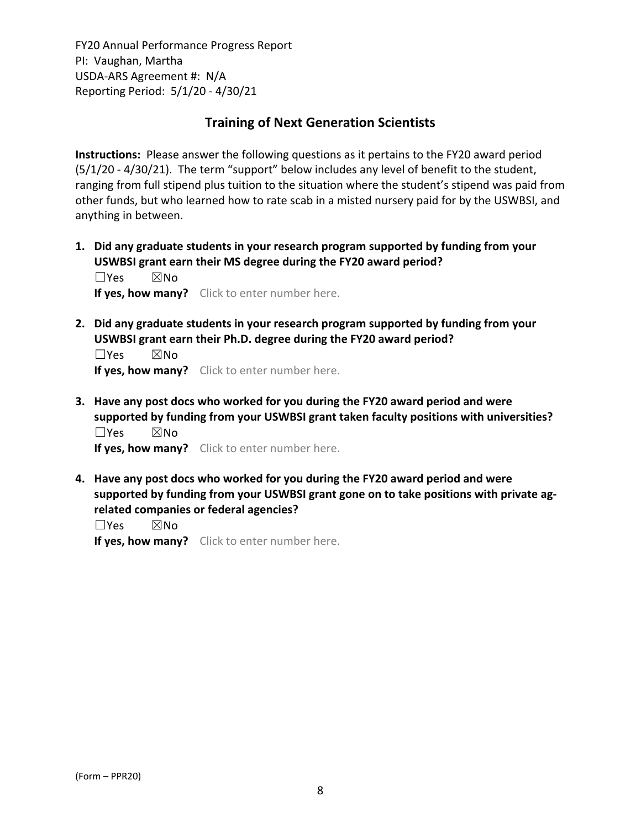# **Training of Next Generation Scientists**

**Instructions:** Please answer the following questions as it pertains to the FY20 award period (5/1/20 ‐ 4/30/21). The term "support" below includes any level of benefit to the student, ranging from full stipend plus tuition to the situation where the student's stipend was paid from other funds, but who learned how to rate scab in a misted nursery paid for by the USWBSI, and anything in between.

**1. Did any graduate students in your research program supported by funding from your USWBSI grant earn their MS degree during the FY20 award period?** ☐Yes ☒No

**If yes, how many?** Click to enter number here.

**2. Did any graduate students in your research program supported by funding from your USWBSI grant earn their Ph.D. degree during the FY20 award period?**

 $\square$ Yes  $\square$ No **If yes, how many?** Click to enter number here.

**3. Have any post docs who worked for you during the FY20 award period and were supported by funding from your USWBSI grant taken faculty positions with universities?** ☐Yes ☒No

**If yes, how many?** Click to enter number here.

**4. Have any post docs who worked for you during the FY20 award period and were supported by funding from your USWBSI grant gone on to take positions with private ag‐ related companies or federal agencies?**

☐Yes ☒No

**If yes, how many?** Click to enter number here.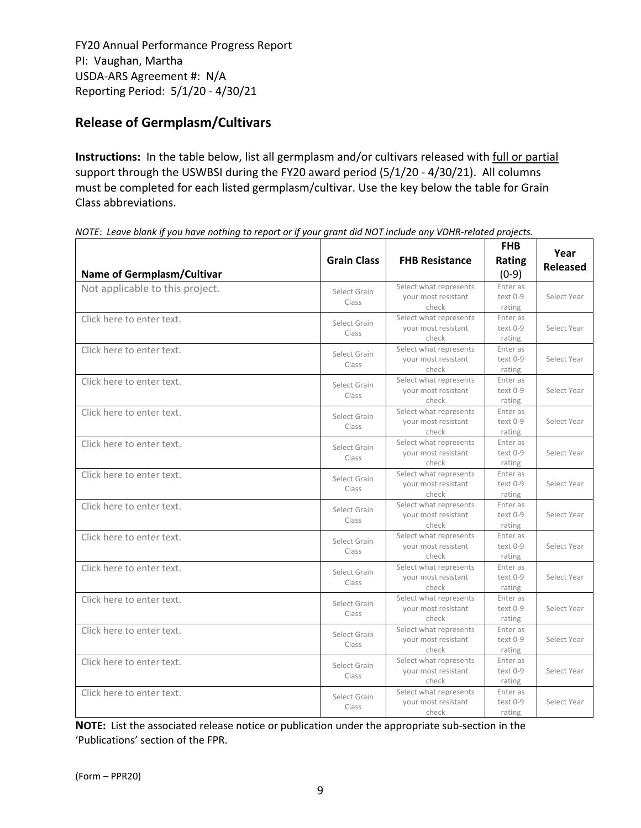# **Release of Germplasm/Cultivars**

**Instructions:** In the table below, list all germplasm and/or cultivars released with full or partial support through the USWBSI during the FY20 award period (5/1/20 - 4/30/21). All columns must be completed for each listed germplasm/cultivar. Use the key below the table for Grain Class abbreviations. 

| <b>Name of Germplasm/Cultivar</b> | <b>Grain Class</b>    | <b>FHB Resistance</b>                                  | <b>FHB</b><br>Rating<br>$(0-9)$ | Year<br><b>Released</b> |
|-----------------------------------|-----------------------|--------------------------------------------------------|---------------------------------|-------------------------|
| Not applicable to this project.   | Select Grain<br>Class | Select what represents<br>your most resistant<br>check | Enter as<br>text 0-9<br>rating  | Select Year             |
| Click here to enter text.         | Select Grain<br>Class | Select what represents<br>your most resistant<br>check | Enter as<br>text 0-9<br>rating  | Select Year             |
| Click here to enter text.         | Select Grain<br>Class | Select what represents<br>your most resistant<br>check | Enter as<br>text 0-9<br>rating  | Select Year             |
| Click here to enter text.         | Select Grain<br>Class | Select what represents<br>your most resistant<br>check | Enter as<br>text 0-9<br>rating  | Select Year             |
| Click here to enter text.         | Select Grain<br>Class | Select what represents<br>your most resistant<br>check | Enter as<br>text 0-9<br>rating  | Select Year             |
| Click here to enter text.         | Select Grain<br>Class | Select what represents<br>your most resistant<br>check | Enter as<br>text 0-9<br>rating  | Select Year             |
| Click here to enter text.         | Select Grain<br>Class | Select what represents<br>your most resistant<br>check | Enter as<br>text 0-9<br>rating  | Select Year             |
| Click here to enter text.         | Select Grain<br>Class | Select what represents<br>vour most resistant<br>check | Enter as<br>text 0-9<br>rating  | Select Year             |
| Click here to enter text.         | Select Grain<br>Class | Select what represents<br>your most resistant<br>check | Enter as<br>text 0-9<br>rating  | Select Year             |
| Click here to enter text.         | Select Grain<br>Class | Select what represents<br>your most resistant<br>check | Enter as<br>text 0-9<br>rating  | Select Year             |
| Click here to enter text.         | Select Grain<br>Class | Select what represents<br>your most resistant<br>check | Enter as<br>text 0-9<br>rating  | Select Year             |
| Click here to enter text.         | Select Grain<br>Class | Select what represents<br>your most resistant<br>check | Enter as<br>text 0-9<br>rating  | Select Year             |
| Click here to enter text.         | Select Grain<br>Class | Select what represents<br>your most resistant<br>check | Enter as<br>text 0-9<br>rating  | Select Year             |
| Click here to enter text.         | Select Grain<br>Class | Select what represents<br>your most resistant<br>check | Enter as<br>text 0-9<br>rating  | Select Year             |

NOTE: Leave blank if you have nothing to report or if your grant did NOT include any VDHR-related projects.

**NOTE:** List the associated release notice or publication under the appropriate sub-section in the 'Publications' section of the FPR.